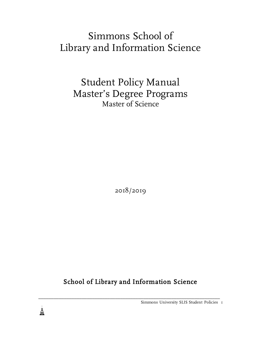# Simmons School of Library and Information Science

Student Policy Manual Master's Degree Programs Master of Science

2018/2019

School of Library and Information Science

\_\_\_\_\_\_\_\_\_\_\_\_\_\_\_\_\_\_\_\_\_\_\_\_\_\_\_\_\_\_\_\_\_\_\_\_\_\_\_\_\_\_\_\_\_\_\_\_\_\_\_\_\_\_\_\_\_\_\_\_\_\_\_\_\_\_\_\_\_\_\_

Simmons University SLIS Student Policies 1

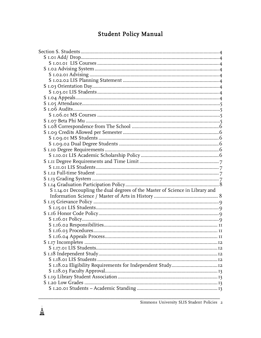# Student Policy Manual

| S 1.14.01 Decoupling the dual degrees of the Master of Science in Library and |  |
|-------------------------------------------------------------------------------|--|
|                                                                               |  |
|                                                                               |  |
|                                                                               |  |
|                                                                               |  |
|                                                                               |  |
|                                                                               |  |
|                                                                               |  |
|                                                                               |  |
|                                                                               |  |
|                                                                               |  |
|                                                                               |  |
|                                                                               |  |
| S 1.18.02 Eligibility Requirements for Independent Study12                    |  |
|                                                                               |  |
|                                                                               |  |
|                                                                               |  |
|                                                                               |  |

 $\begin{array}{c}\n\downarrow \\
\downarrow \\
\downarrow\n\end{array}$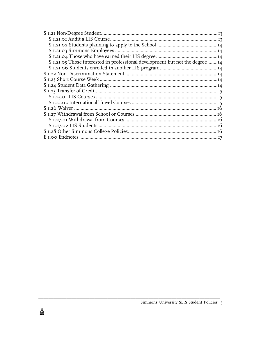| S 1.21.05 Those interested in professional development but not the degree14 |  |
|-----------------------------------------------------------------------------|--|
|                                                                             |  |
|                                                                             |  |
|                                                                             |  |
|                                                                             |  |
|                                                                             |  |
|                                                                             |  |
|                                                                             |  |
|                                                                             |  |
|                                                                             |  |
|                                                                             |  |
|                                                                             |  |
|                                                                             |  |
|                                                                             |  |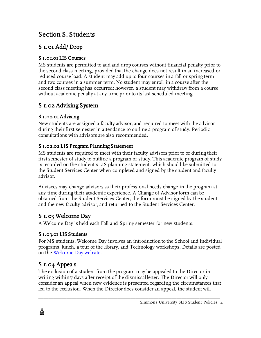# Section S. Students

# S 1.01 Add/ Drop

#### S 1.01.01 LIS Courses

MS students are permitted to add and drop courses without financial penalty prior to the second class meeting, provided that the change does not result in an increased or reduced course load. A student may add up to four courses in a fall or spring term and two courses in a summer term. No student may enroll in a course after the second class meeting has occurred; however, a student may withdraw from a course without academic penalty at any time prior to its last scheduled meeting.

### S 1.02 Advising System

#### S 1.02.01 Advising

New students are assigned a faculty advisor, and required to meet with the advisor during their first semester in attendance to outline a program of study. Periodic consultations with advisors are also recommended.

#### S 1.02.02 LIS Program Planning Statement

MS students are required to meet with their faculty advisors prior to or during their first semester of study to outline a program of study. This academic program of study is recorded on the student's LIS planning statement, which should be submitted to the Student Services Center when completed and signed by the student and faculty advisor.

Advisees may change advisors as their professional needs change in the program at any time during their academic experience. A Change of Advisor form can be obtained from the Student Services Center; the form must be signed by the student and the new faculty advisor, and returned to the Student Services Center.

### S 1.03 Welcome Day

A Welcome Day is held each Fall and Spring semester for new students.

#### S 1.03.01 LIS Students

For MS students, Welcome Day involves an introduction to the School and individual programs, lunch, a tour of the library, and Technology workshops. Details are posted on the Welcome Day website.

# S 1.04 Appeals

鼻<br>睾

The exclusion of a student from the program may be appealed to the Director in writing within 7 days after receipt of the dismissal letter. The Director will only consider an appeal when new evidence is presented regarding the circumstances that led to the exclusion. When the Director does consider an appeal, the student will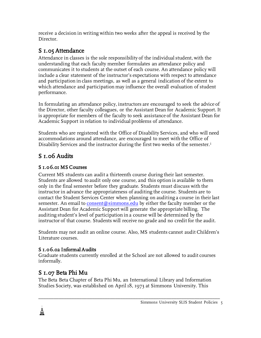receive a decision in writing within two weeks after the appeal is received by the Director.

# S 1.05 Attendance

Attendance in classes is the sole responsibility of the individual student, with the understanding that each faculty member formulates an attendance policy and communicates it to students at the outset of each course. An attendance policy will include a clear statement of the instructor's expectations with respect to attendance and participation in class meetings, as well as a general indication of the extent to which attendance and participation may influence the overall evaluation of student performance.

In formulating an attendance policy, instructors are encouraged to seek the advice of the Director, other faculty colleagues, or the Assistant Dean for Academic Support. It is appropriate for members of the faculty to seek assistance of the Assistant Dean for Academic Support in relation to individual problems of attendance.

Students who are registered with the Office of Disability Services, and who will need accommodations around attendance, are encouraged to meet with the Office of Disability Services and the instructor during the first two weeks of the semester.<sup>i</sup>

# S 1.06 Audits

### S 1.06.01 MS Courses

Current MS students can audit a thirteenth course during their last semester. Students are allowed to audit only one course, and this option is available to them only in the final semester before they graduate. Students must discuss with the instructor in advance the appropriateness of auditing the course. Students are to contact the Student Services Center when planning on auditing a course in their last semester. An email to consent@simmons.edu by either the faculty member or the Assistant Dean for Academic Support will generate the appropriate billing. The auditing student's level of participation in a course will be determined by the instructor of that course. Students will receive no grade and no credit for the audit.

Students may not audit an online course. Also, MS students cannot audit Children's Literature courses.

### S 1.06.02 Informal Audits

Graduate students currently enrolled at the School are not allowed to audit courses informally.

# S 1.07 Beta Phi Mu

ė,

The Beta Beta Chapter of Beta Phi Mu, an International Library and Information Studies Society, was established on April 18, 1973 at Simmons University. This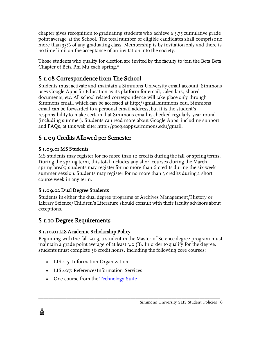chapter gives recognition to graduating students who achieve a 3.75 cumulative grade point average at the School. The total number of eligible candidates shall comprise no more than 35% of any graduating class. Membership is by invitation only and there is no time limit on the acceptance of an invitation into the society.

Those students who qualify for election are invited by the faculty to join the Beta Beta Chapter of Beta Phi Mu each spring.ii

# S 1.08 Correspondence from The School

Students must activate and maintain a Simmons University email account. Simmons uses Google Apps for Education as its platform for email, calendars, shared documents, etc. All school related correspondence will take place only through Simmons email, which can be accessed at http://gmail.simmons.edu. Simmons email can be forwarded to a personal email address, but it is the student's responsibility to make certain that Simmons email is checked regularly year round (including summer). Students can read more about Google Apps, including support and FAQs, at this web site: http://googleapps.simmons.edu/gmail.

# S 1.09 Credits Allowed per Semester

#### S 1.09.01 MS Students

MS students may register for no more than 12 credits during the fall or spring terms. During the spring term, this total includes any short courses during the March spring break; students may register for no more than 6 credits during the six-week summer session. Students may register for no more than 3 credits during a short course week in any term.

#### S 1.09.02 Dual Degree Students

Students in either the dual degree programs of Archives Management/History or Library Science/Children's Literature should consult with their faculty advisors about exceptions.

### S 1.10 Degree Requirements

#### S 1.10.01 LIS Academic Scholarship Policy

Beginning with the fall 2013, a student in the Master of Science degree program must maintain a grade point average of at least 3.0 (B). In order to qualify for the degree, students must complete 36 credit hours, including the following core courses:

- LIS 415: Information Organization
- LIS 407: Reference/Information Services
- One course from the Technology Suite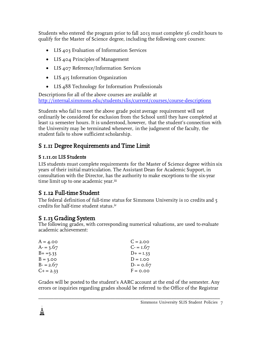Students who entered the program prior to fall 2013 must complete 36 credit hours to qualify for the Master of Science degree, including the following core courses:

- LIS 403 Evaluation of Information Services
- LIS 404 Principles of Management
- LIS 407 Reference/Information Services
- LIS 415 Information Organization
- LIS 488 Technology for Information Professionals

Descriptions for all of the above courses are available at http://internal.simmons.edu/students/slis/current/courses/course-descriptions

Students who fail to meet the above grade point average requirement will not ordinarily be considered for exclusion from the School until they have completed at least 12 semester hours. It is understood, however, that the student's connection with the University may be terminated whenever, in the judgment of the faculty, the student fails to show sufficient scholarship.

### S 1.11 Degree Requirements and Time Limit

#### S 1.11.01 LIS Students

LIS students must complete requirements for the Master of Science degree within six years of their initial matriculation. The Assistant Dean for Academic Support, in consultation with the Director, has the authority to make exceptions to the six-year time limit up to one academic year.<sup>iii</sup>

### S 1.12 Full-time Student

The federal definition of full-time status for Simmons University is 10 credits and 5 credits for half-time student status.iv

### S 1.13 Grading System

The following grades, with corresponding numerical valuations, are used to evaluate academic achievement:

| $C = 2.00$  |
|-------------|
| $C = 1.67$  |
| $D+ = 1.33$ |
| $D = I.00$  |
| $D = 0.67$  |
| $F = 0.00$  |
|             |

Grades will be posted to the student's AARC account at the end of the semester. Any errors or inquiries regarding grades should be referred to the Office of the Registrar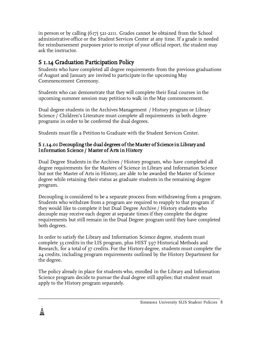in person or by calling (617) 521-2111. Grades cannot be obtained from the School administrative office or the Student Services Center at any time. If a grade is needed for reimbursement purposes prior to receipt of your official report, the student may ask the instructor.

### S 1.14 Graduation Participation Policy

Students who have completed all degree requirements from the previous graduations of August and January are invited to participate in the upcoming May Commencement Ceremony.

Students who can demonstrate that they will complete their final courses in the upcoming summer session may petition to walk in the May commencement.

Dual degree students in the Archives Management / History program or Library Science / Children's Literature must complete all requirements in both degree programs in order to be conferred the dual degrees.

Students must file a Petition to Graduate with the Student Services Center.

#### S 1.14.01 Decoupling the dual degrees of the Master of Science in Library and Information Science / Master of Arts in History

Dual Degree Students in the Archives / History program, who have completed all degree requirements for the Masters of Science in Library and Information Science but not the Master of Arts in History, are able to be awarded the Master of Science degree while retaining their status as graduate students in the remaining degree program.

Decoupling is considered to be a separate process from withdrawing from a program. Students who withdraw from a program are required to reapply to that program if they would like to complete it but Dual Degree Archive / History students who decouple may receive each degree at separate times if they complete the degree requirements but still remain in the Dual Degree program until they have completed both degrees.

In order to satisfy the Library and Information Science degree, students must complete 33 credits in the LIS program, plus HIST 597 Historical Methods and Research, for a total of 37 credits. For the History degree, students must complete the 24 credits, including program requirements outlined by the History Department for the degree.

The policy already in place for students who, enrolled in the Library and Information Science program decide to pursue the dual degree still applies; that student must apply to the History program separately.

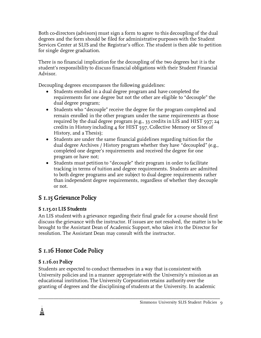Both co-directors (advisors) must sign a form to agree to this decoupling of the dual degrees and the form should be filed for administrative purposes with the Student Services Center at SLIS and the Registrar's office. The student is then able to petition for single degree graduation.

There is no financial implication for the decoupling of the two degrees but it is the student's responsibility to discuss financial obligations with their Student Financial Advisor.

Decoupling degrees encompasses the following guidelines:

- Students enrolled in a dual degree program and have completed the requirements for one degree but not the other are eligible to "decouple" the dual degree program;
- Students who "decouple" receive the degree for the program completed and remain enrolled in the other program under the same requirements as those required by the dual degree program (e.g., 33 credits in LIS and HIST 597; 24 credits in History including 4 for HIST 597, Collective Memory or Sites of History, and a Thesis);
- Students are under the same financial guidelines regarding tuition for the dual degree Archives / History program whether they have "decoupled" (e.g., completed one degree's requirements and received the degree for one program or have not;
- Students must petition to "decouple" their program in order to facilitate tracking in terms of tuition and degree requirements. Students are admitted to both degree programs and are subject to dual degree requirements rather than independent degree requirements, regardless of whether they decouple or not.

# S 1.15 Grievance Policy

#### S 1.15.01 LIS Students

An LIS student with a grievance regarding their final grade for a course should first discuss the grievance with the instructor. If issues are not resolved, the matter is to be brought to the Assistant Dean of Academic Support, who takes it to the Director for resolution. The Assistant Dean may consult with the instructor.

# S 1.16 Honor Code Policy

### S 1.16.01 Policy

Students are expected to conduct themselves in a way that is consistent with University policies and in a manner appropriate with the University's mission as an educational institution. The University Corporation retains authority over the granting of degrees and the disciplining of students at the University. In academic

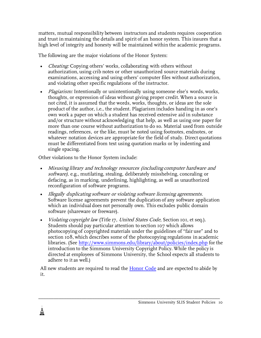matters, mutual responsibility between instructors and students requires cooperation and trust in maintaining the details and spirit of an honor system. This insures that a high level of integrity and honesty will be maintained within the academic programs.

The following are the major violations of the Honor System:

- Cheating: Copying others' works, collaborating with others without authorization, using crib notes or other unauthorized source materials during examinations, accessing and using others' computer files without authorization, and violating other specific regulations of the instructor.
- Plagiarism: Intentionally or unintentionally using someone else's words, works, thoughts, or expression of ideas without giving proper credit. When a source is not cited, it is assumed that the words, works, thoughts, or ideas are the sole product of the author, i.e., the student. Plagiarism includes handing in as one's own work a paper on which a student has received extensive aid in substance and/or structure without acknowledging that help, as well as using one paper for more than one course without authorization to do so. Material used from outside readings, references, or the like, must be noted using footnotes, endnotes, or whatever notation devices are appropriate for the field of study. Direct quotations must be differentiated from text using quotation marks or by indenting and single spacing.

Other violations to the Honor System include:

≞

- Misusing library and technology resources (including computer hardware and software), e.g., mutilating, stealing, deliberately misshelving, concealing or defacing, as in marking, underlining, highlighting, as well as unauthorized reconfiguration of software programs.
- Illegally duplicating software or violating software licensing agreements. Software license agreements prevent the duplication of any software application which an individual does not personally own. This excludes public domain software (shareware or freeware).
- Violating copyright law (Title 17, United States Code, Section 101, et seq.). Students should pay particular attention to section 107 which allows photocopying of copyrighted materials under the guidelines of "fair use" and to section 108, which describes some of the photocopying regulations in academic libraries. (See http://www.simmons.edu/library/about/policies/index.php for the introduction to the Simmons University Copyright Policy. While the policy is directed at employees of Simmons University, the School expects all students to adhere to it as well.)

All new students are required to read the Honor Code and are expected to abide by it.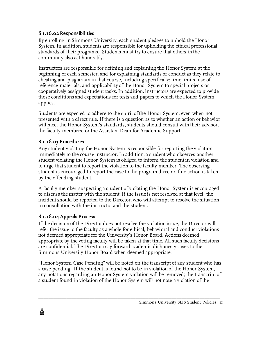#### S 1.16.02 Responsibilities

By enrolling in Simmons University, each student pledges to uphold the Honor System. In addition, students are responsible for upholding the ethical professional standards of their programs. Students must try to ensure that others in the community also act honorably.

Instructors are responsible for defining and explaining the Honor System at the beginning of each semester, and for explaining standards of conduct as they relate to cheating and plagiarism in that course, including specifically: time limits, use of reference materials, and applicability of the Honor System to special projects or cooperatively assigned student tasks. In addition, instructors are expected to provide those conditions and expectations for tests and papers to which the Honor System applies.

Students are expected to adhere to the spirit of the Honor System, even when not presented with a direct rule. If there is a question as to whether an action or behavior will meet the Honor System's standards, students should consult with their advisor, the faculty members, or the Assistant Dean for Academic Support.

#### S 1.16.03 Procedures

Any student violating the Honor System is responsible for reporting the violation immediately to the course instructor. In addition, a student who observes another student violating the Honor System is obliged to inform the student in violation and to urge that student to report the violation to the faculty member. The observing student is encouraged to report the case to the program director if no action is taken by the offending student.

A faculty member suspecting a student of violating the Honor System is encouraged to discuss the matter with the student. If the issue is not resolved at that level, the incident should be reported to the Director, who will attempt to resolve the situation in consultation with the instructor and the student.

#### S 1.16.04 Appeals Process

If the decision of the Director does not resolve the violation issue, the Director will refer the issue to the faculty as a whole for ethical, behavioral and conduct violations not deemed appropriate for the University's Honor Board. Actions deemed appropriate by the voting faculty will be taken at that time. All such faculty decisions are confidential. The Director may forward academic dishonesty cases to the Simmons University Honor Board when deemed appropriate.

"Honor System Case Pending" will be noted on the transcript of any student who has a case pending. If the student is found not to be in violation of the Honor System, any notations regarding an Honor System violation will be removed; the transcript of a student found in violation of the Honor System will not note a violation of the

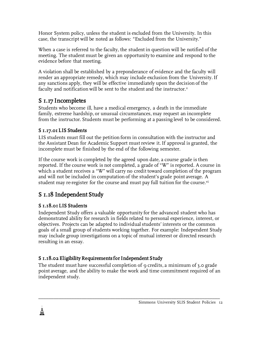Honor System policy, unless the student is excluded from the University. In this case, the transcript will be noted as follows: "Excluded from the University."

When a case is referred to the faculty, the student in question will be notified of the meeting. The student must be given an opportunity to examine and respond to the evidence before that meeting.

A violation shall be established by a preponderance of evidence and the faculty will render an appropriate remedy, which may include exclusion from the University. If any sanctions apply, they will be effective immediately upon the decision of the faculty and notification will be sent to the student and the instructor.<sup>v</sup>

### S 1.17 Incompletes

Students who become ill, have a medical emergency, a death in the immediate family, extreme hardship, or unusual circumstances, may request an incomplete from the instructor. Students must be performing at a passing level to be considered.

#### S 1.17.01 LIS Students

LIS students must fill out the petition form in consultation with the instructor and the Assistant Dean for Academic Support must review it. If approval is granted, the incomplete must be finished by the end of the following semester.

If the course work is completed by the agreed upon date, a course grade is then reported. If the course work is not completed, a grade of "W" is reported. A course in which a student receives a "W" will carry no credit toward completion of the program and will not be included in computation of the student's grade point average. A student may re-register for the course and must pay full tuition for the course.<sup>vi</sup>

### S 1.18 Independent Study

#### S 1.18.01 LIS Students

Independent Study offers a valuable opportunity for the advanced student who has demonstrated ability for research in fields related to personal experience, interest, or objectives. Projects can be adapted to individual students' interests or the common goals of a small group of students working together. For example: Independent Study may include group investigations on a topic of mutual interest or directed research resulting in an essay.

#### S 1.18.02 Eligibility Requirements for Independent Study

The student must have successful completion of 9 credits, a minimum of 3.0 grade point average, and the ability to make the work and time commitment required of an independent study.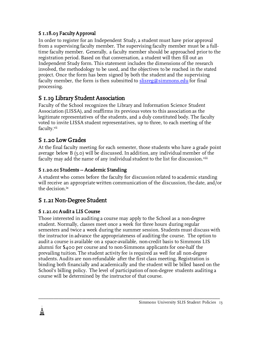#### S 1.18.03 Faculty Approval

In order to register for an Independent Study, a student must have prior approval from a supervising faculty member. The supervising faculty member must be a fulltime faculty member. Generally, a faculty member should be approached prior to the registration period. Based on that conversation, a student will then fill out an Independent Study form. This statement includes the dimensions of the research involved, the methodology to be used, and the objectives to be reached in the stated project. Once the form has been signed by both the student and the supervising faculty member, the form is then submitted to  $\text{s}$ lisreg@simmons.edu for final processing.

### S 1.19 Library Student Association

Faculty of the School recognizes the Library and Information Science Student Association (LISSA), and reaffirms its previous votes to this association as the legitimate representatives of the students, and a duly constituted body. The faculty voted to invite LISSA student representatives, up to three, to each meeting of the faculty.vii

### S 1.20 Low Grades

At the final faculty meeting for each semester, those students who have a grade point average below B (3.0) will be discussed. In addition, any individual member of the faculty may add the name of any individual student to the list for discussion.<sup>viii</sup>

#### S 1.20.01 Students -- Academic Standing

A student who comes before the faculty for discussion related to academic standing will receive an appropriate written communication of the discussion, the date, and/or the decision.ix

### S 1.21 Non-Degree Student

### S 1.21.01 Audit a LIS Course

ė.

Those interested in auditing a course may apply to the School as a non-degree student. Normally, classes meet once a week for three hours during regular semesters and twice a week during the summer session. Students must discuss with the instructor in advance the appropriateness of auditing the course. The option to audit a course is available on a space-available, non-credit basis to Simmons LIS alumni for \$400 per course and to non-Simmons applicants for one-half the prevailing tuition. The student activity fee is required as well for all non-degree students. Audits are non-refundable after the first class meeting. Registration is binding both financially and academically and the student will be billed based on the School's billing policy. The level of participation of non-degree students auditing a course will be determined by the instructor of that course.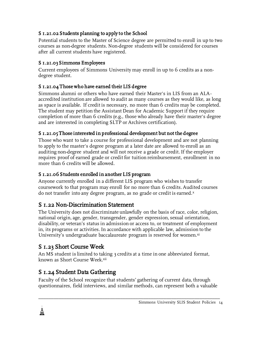#### S 1.21.02 Students planning to apply to the School

Potential students to the Master of Science degree are permitted to enroll in up to two courses as non-degree students. Non-degree students will be considered for courses after all current students have registered.

#### S 1.21.03 Simmons Employees

Current employees of Simmons University may enroll in up to 6 credits as a nondegree student.

#### S 1.21.04 Those who have earned their LIS degree

Simmons alumni or others who have earned their Master's in LIS from an ALAaccredited institution are allowed to audit as many courses as they would like, as long as space is available. If credit is necessary, no more than 6 credits may be completed. The student may petition the Assistant Dean for Academic Support if they require completion of more than 6 credits (e.g., those who already have their master's degree and are interested in completing SLTP or Archives certification).

#### S 1.21.05 Those interested in professional development but not the degree

Those who want to take a course for professional development and are not planning to apply to the master's degree program at a later date are allowed to enroll as an auditing non-degree student and will not receive a grade or credit. If the employer requires proof of earned grade or credit for tuition reimbursement, enrollment in no more than 6 credits will be allowed.

### S 1.21.06 Students enrolled in another LIS program

Anyone currently enrolled in a different LIS program who wishes to transfer coursework to that program may enroll for no more than 6 credits. Audited courses do not transfer into any degree program, as no grade or credit is earned.x

### S 1.22 Non-Discrimination Statement

The University does not discriminate unlawfully on the basis of race, color, religion, national origin, age, gender, transgender, gender expression, sexual orientation, disability, or veteran's status in admission or access to, or treatment of employment in, its programs or activities. In accordance with applicable law, admission to the University's undergraduate baccalaureate program is reserved for women. $x<sub>i</sub>$ 

# S 1.23 Short Course Week

鼻<br>睾

An MS student is limited to taking 3 credits at a time in one abbreviated format, known as Short Course Week.xii

# S 1.24 Student Data Gathering

Faculty of the School recognize that students' gathering of current data, through questionnaires, field interviews, and similar methods, can represent both a valuable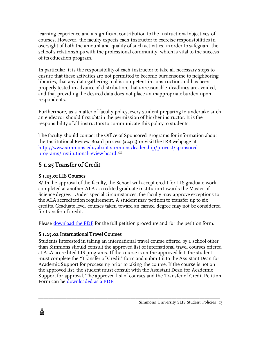learning experience and a significant contribution to the instructional objectives of courses. However, the faculty expects each instructor to exercise responsibilities in oversight of both the amount and quality of such activities, in order to safeguard the school's relationships with the professional community, which is vital to the success of its education program.

In particular, it is the responsibility of each instructor to take all necessary steps to ensure that these activities are not permitted to become burdensome to neighboring libraries, that any data-gathering tool is competent in construction and has been properly tested in advance of distribution, that unreasonable deadlines are avoided, and that providing the desired data does not place an inappropriate burden upon respondents.

Furthermore, as a matter of faculty policy, every student preparing to undertake such an endeavor should first obtain the permission of his/her instructor. It is the responsibility of all instructors to communicate this policy to students.

The faculty should contact the Office of Sponsored Programs for information about the Institutional Review Board process (x2415) or visit the IRB webpage at http://www.simmons.edu/about-simmons/leadership/provost/sponsored-<u>programs/institutional-review-board</u>.¤iii

### S 1.25 Transfer of Credit

### S 1.25.01 LIS Courses

ė.

With the approval of the faculty, the School will accept credit for LIS graduate work completed at another ALA-accredited graduate institution towards the Master of Science degree. Under special circumstances, the faculty may approve exceptions to the ALA accreditation requirement. A student may petition to transfer up to six credits. Graduate level courses taken toward an earned degree may not be considered for transfer of credit.

Please download the PDF for the full petition procedure and for the petition form.

### S 1.25.02 International Travel Courses

Students interested in taking an international travel course offered by a school other than Simmons should consult the approved list of international travel courses offered at ALA-accredited LIS programs. If the course is on the approved list, the student must complete the "Transfer of Credit" form and submit it to the Assistant Dean for Academic Support for processing prior to taking the course. If the course is not on the approved list, the student must consult with the Assistant Dean for Academic Support for approval. The approved list of courses and the Transfer of Credit Petition Form can be downloaded as a PDF.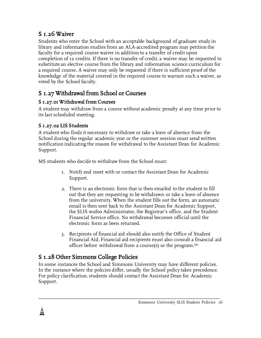# S<sub>1.26</sub> Waiver

Students who enter the School with an acceptable background of graduate study in library and information studies from an ALA-accredited program may petition the faculty for a required course waiver in addition to a transfer of credit upon completion of 12 credits. If there is no transfer of credit, a waiver may be requested to substitute an elective course from the library and information science curriculum for a required course. A waiver may only be requested if there is sufficient proof of the knowledge of the material covered in the required course to warrant such a waiver, as voted by the School faculty.

# S 1.27 Withdrawal from School or Courses

#### S 1.27.01 Withdrawal from Courses

A student may withdraw from a course without academic penalty at any time prior to its last scheduled meeting.

### S 1.27.02 LIS Students

A student who finds it necessary to withdraw or take a leave of absence from the School during the regular academic year or the summer session must send written notification indicating the reason for withdrawal to the Assistant Dean for Academic Support.

MS students who decide to withdraw from the School must:

- 1. Notify and meet with or contact the Assistant Dean for Academic Support.
- 2. There is an electronic form that is then emailed to the student to fill out that they are requesting to be withdrawn or take a leave of absence from the university. When the student fills out the form, an automatic email is then sent back to the Assistant Dean for Academic Support, the SLIS wufoo Administrator, the Registrar's office, and the Student Financial Service office. No withdrawal becomes official until the electronic form as been returned.
- 3. Recipients of financial aid should also notify the Office of Student Financial Aid. Financial aid recipients must also consult a financial aid officer before withdrawal from a course(s) or the program.<sup>xiv</sup>

# S 1.28 Other Simmons College Policies

ė.

In some instances the School and Simmons University may have different policies. In the instance where the policies differ, usually the School policy takes precedence. For policy clarification, students should contact the Assistant Dean for Academic Support.